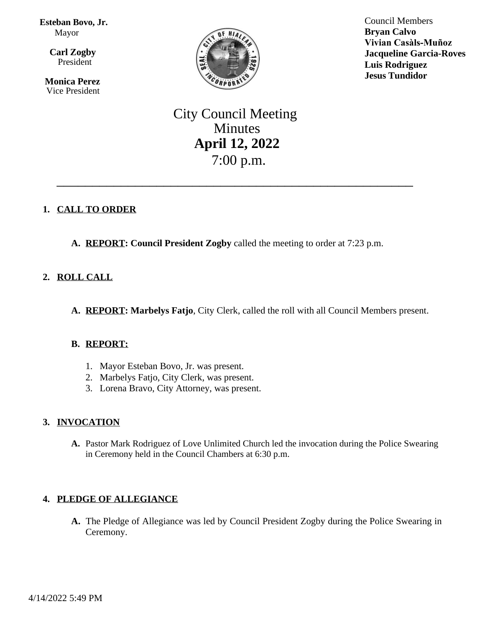**Esteban Bovo, Jr.** Mayor

 $\overline{a}$ **Carl Zogby** President

> **Monica Perez** Vice President



Council Members **Bryan Calvo Vivian Casàls-Muñoz Jacqueline Garcia-Roves Luis Rodriguez Jesus Tundidor**

# City Council Meeting Minutes **April 12, 2022** 7:00 p.m.

\_\_\_\_\_\_\_\_\_\_\_\_\_\_\_\_\_\_\_\_\_\_\_\_\_\_\_\_\_\_\_\_\_\_\_\_\_\_\_\_\_\_\_\_\_\_\_\_\_\_

# **1. CALL TO ORDER**

**A. REPORT: Council President Zogby** called the meeting to order at 7:23 p.m.

# **2. ROLL CALL**

**A. REPORT: Marbelys Fatjo**, City Clerk, called the roll with all Council Members present.

# **B. REPORT:**

- 1. Mayor Esteban Bovo, Jr. was present.
- 2. Marbelys Fatjo, City Clerk, was present.
- 3. Lorena Bravo, City Attorney, was present.

# **3. INVOCATION**

**A.** Pastor Mark Rodriguez of Love Unlimited Church led the invocation during the Police Swearing in Ceremony held in the Council Chambers at 6:30 p.m.

# **4. PLEDGE OF ALLEGIANCE**

**A.** The Pledge of Allegiance was led by Council President Zogby during the Police Swearing in Ceremony.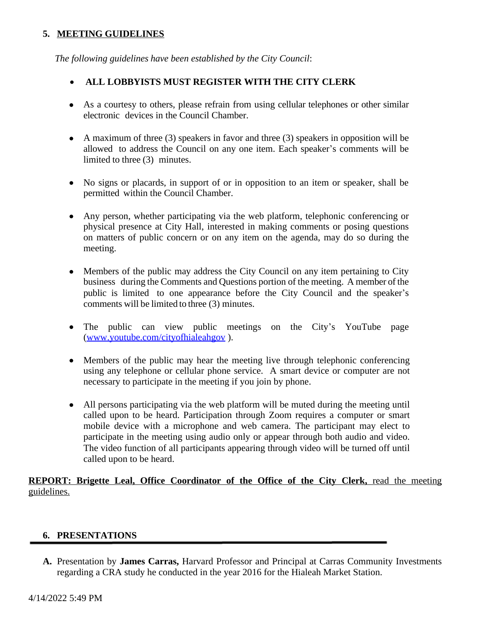# **5. MEETING GUIDELINES**

*The following guidelines have been established by the City Council*:

# **ALL LOBBYISTS MUST REGISTER WITH THE CITY CLERK**

- As a courtesy to others, please refrain from using cellular telephones or other similar electronic devices in the Council Chamber.
- A maximum of three  $(3)$  speakers in favor and three  $(3)$  speakers in opposition will be allowed to address the Council on any one item. Each speaker's comments will be limited to three (3) minutes.
- No signs or placards, in support of or in opposition to an item or speaker, shall be permitted within the Council Chamber.
- Any person, whether participating via the web platform, telephonic conferencing or physical presence at City Hall, interested in making comments or posing questions on matters of public concern or on any item on the agenda, may do so during the meeting.
- Members of the public may address the City Council on any item pertaining to City business during the Comments and Questions portion of the meeting. A member of the public is limited to one appearance before the City Council and the speaker's comments will be limited to three (3) minutes.
- The public can view public meetings on the City's YouTube page [\(www.youtube.com/cityofhialeahgov](http://www.youtube.com/cityofhialeahgov) ).
- Members of the public may hear the meeting live through telephonic conferencing using any telephone or cellular phone service. A smart device or computer are not necessary to participate in the meeting if you join by phone.
- All persons participating via the web platform will be muted during the meeting until called upon to be heard. Participation through Zoom requires a computer or smart mobile device with a microphone and web camera. The participant may elect to participate in the meeting using audio only or appear through both audio and video. The video function of all participants appearing through video will be turned off until called upon to be heard.

**REPORT: Brigette Leal, Office Coordinator of the Office of the City Clerk,** read the meeting guidelines.

# **6. PRESENTATIONS**

**A.** Presentation by **James Carras,** Harvard Professor and Principal at Carras Community Investments regarding a CRA study he conducted in the year 2016 for the Hialeah Market Station.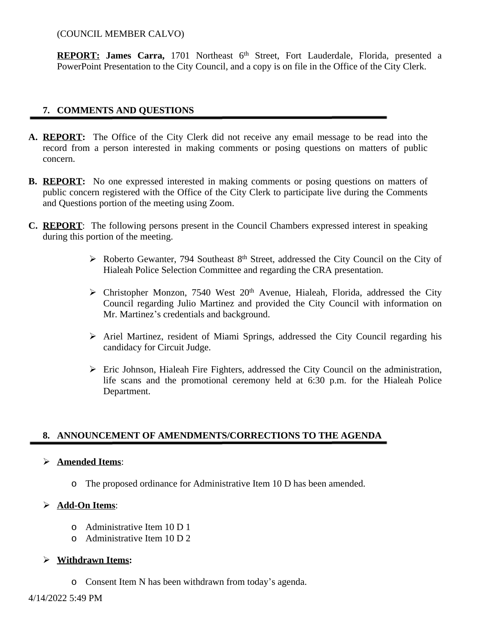(COUNCIL MEMBER CALVO)

**REPORT: James Carra,** 1701 Northeast 6 th Street, Fort Lauderdale, Florida, presented a PowerPoint Presentation to the City Council, and a copy is on file in the Office of the City Clerk.

# **7. COMMENTS AND QUESTIONS**

- **A. REPORT:** The Office of the City Clerk did not receive any email message to be read into the record from a person interested in making comments or posing questions on matters of public concern.
- **B. REPORT:** No one expressed interested in making comments or posing questions on matters of public concern registered with the Office of the City Clerk to participate live during the Comments and Questions portion of the meeting using Zoom.
- **C. REPORT**: The following persons present in the Council Chambers expressed interest in speaking during this portion of the meeting.
	- $\triangleright$  Roberto Gewanter, 794 Southeast 8<sup>th</sup> Street, addressed the City Council on the City of Hialeah Police Selection Committee and regarding the CRA presentation.
	- $\triangleright$  Christopher Monzon, 7540 West 20<sup>th</sup> Avenue, Hialeah, Florida, addressed the City Council regarding Julio Martinez and provided the City Council with information on Mr. Martinez's credentials and background.
	- $\triangleright$  Ariel Martinez, resident of Miami Springs, addressed the City Council regarding his candidacy for Circuit Judge.
	- Eric Johnson, Hialeah Fire Fighters, addressed the City Council on the administration, life scans and the promotional ceremony held at 6:30 p.m. for the Hialeah Police Department.

# **8. ANNOUNCEMENT OF AMENDMENTS/CORRECTIONS TO THE AGENDA**

### **Amended Items**:

o The proposed ordinance for Administrative Item 10 D has been amended.

# **Add-On Items**:

- o Administrative Item 10 D 1
- o Administrative Item 10 D 2

### **Withdrawn Items:**

o Consent Item N has been withdrawn from today's agenda.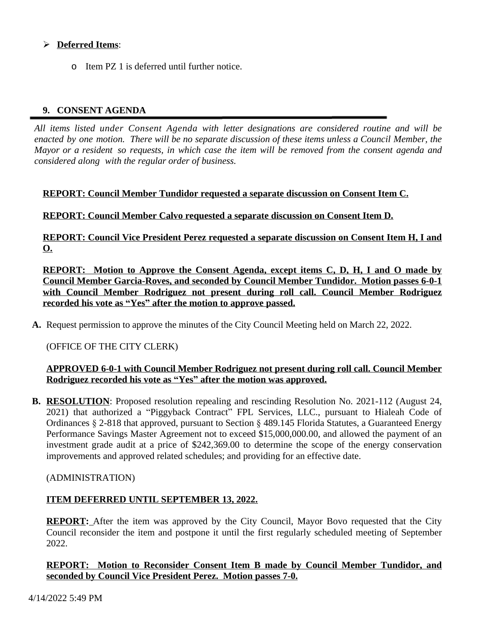# **Deferred Items**:

o Item PZ 1 is deferred until further notice.

# **9. CONSENT AGENDA**

*All items listed under Consent Agenda with letter designations are considered routine and will be* enacted by one motion. There will be no separate discussion of these items unless a Council Member, the Mayor or a resident so requests, in which case the item will be removed from the consent agenda and *considered along with the regular order of business.*

### **REPORT: Council Member Tundidor requested a separate discussion on Consent Item C.**

**REPORT: Council Member Calvo requested a separate discussion on Consent Item D.**

**REPORT: Council Vice President Perez requested a separate discussion on Consent Item H, I and O.**

**REPORT: Motion to Approve the Consent Agenda, except items C, D, H, I and O made by Council Member Garcia-Roves, and seconded by Council Member Tundidor. Motion passes 6-0-1 with Council Member Rodriguez not present during roll call. Council Member Rodriguez recorded his vote as "Yes" after the motion to approve passed.**

**A.** Request permission to approve the minutes of the City Council Meeting held on March 22, 2022.

### (OFFICE OF THE CITY CLERK)

### **APPROVED 6-0-1 with Council Member Rodriguez not present during roll call. Council Member Rodriguez recorded his vote as "Yes" after the motion was approved.**

**B. RESOLUTION**: Proposed resolution repealing and rescinding Resolution No. 2021-112 (August 24, 2021) that authorized a "Piggyback Contract" FPL Services, LLC., pursuant to Hialeah Code of Ordinances § 2-818 that approved, pursuant to Section § 489.145 Florida Statutes, a Guaranteed Energy Performance Savings Master Agreement not to exceed \$15,000,000.00, and allowed the payment of an investment grade audit at a price of \$242,369.00 to determine the scope of the energy conservation improvements and approved related schedules; and providing for an effective date.

### (ADMINISTRATION)

### **ITEM DEFERRED UNTIL SEPTEMBER 13, 2022.**

**REPORT:** After the item was approved by the City Council, Mayor Bovo requested that the City Council reconsider the item and postpone it until the first regularly scheduled meeting of September 2022.

### **REPORT: Motion to Reconsider Consent Item B made by Council Member Tundidor, and seconded by Council Vice President Perez. Motion passes 7-0.**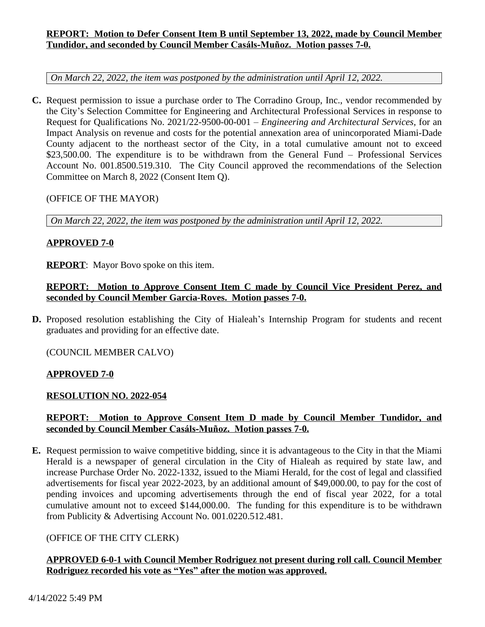# **REPORT: Motion to Defer Consent Item B until September 13, 2022, made by Council Member Tundidor, and seconded by Council Member Casáls-Muñoz. Motion passes 7-0.**

*On March 22, 2022, the item was postponed by the administration until April 12, 2022.*

**C.** Request permission to issue a purchase order to The Corradino Group, Inc., vendor recommended by the City's Selection Committee for Engineering and Architectural Professional Services in response to Request for Qualifications No. 2021/22-9500-00-001 – *Engineering and Architectural Services*, for an Impact Analysis on revenue and costs for the potential annexation area of unincorporated Miami-Dade County adjacent to the northeast sector of the City, in a total cumulative amount not to exceed \$23,500.00. The expenditure is to be withdrawn from the General Fund – Professional Services Account No. 001.8500.519.310. The City Council approved the recommendations of the Selection Committee on March 8, 2022 (Consent Item Q).

### (OFFICE OF THE MAYOR)

*On March 22, 2022, the item was postponed by the administration until April 12, 2022.*

### **APPROVED 7-0**

**REPORT**: Mayor Bovo spoke on this item.

# **REPORT: Motion to Approve Consent Item C made by Council Vice President Perez, and seconded by Council Member Garcia-Roves. Motion passes 7-0.**

**D.** Proposed resolution establishing the City of Hialeah's Internship Program for students and recent graduates and providing for an effective date.

(COUNCIL MEMBER CALVO)

# **APPROVED 7-0**

# **RESOLUTION NO. 2022-054**

# **REPORT: Motion to Approve Consent Item D made by Council Member Tundidor, and seconded by Council Member Casáls-Muñoz. Motion passes 7-0.**

**E.** Request permission to waive competitive bidding, since it is advantageous to the City in that the Miami Herald is a newspaper of general circulation in the City of Hialeah as required by state law, and increase Purchase Order No. 2022-1332, issued to the Miami Herald, for the cost of legal and classified advertisements for fiscal year 2022-2023, by an additional amount of \$49,000.00, to pay for the cost of pending invoices and upcoming advertisements through the end of fiscal year 2022, for a total cumulative amount not to exceed \$144,000.00. The funding for this expenditure is to be withdrawn from Publicity & Advertising Account No. 001.0220.512.481.

# (OFFICE OF THE CITY CLERK)

# **APPROVED 6-0-1 with Council Member Rodriguez not present during roll call. Council Member Rodriguez recorded his vote as "Yes" after the motion was approved.**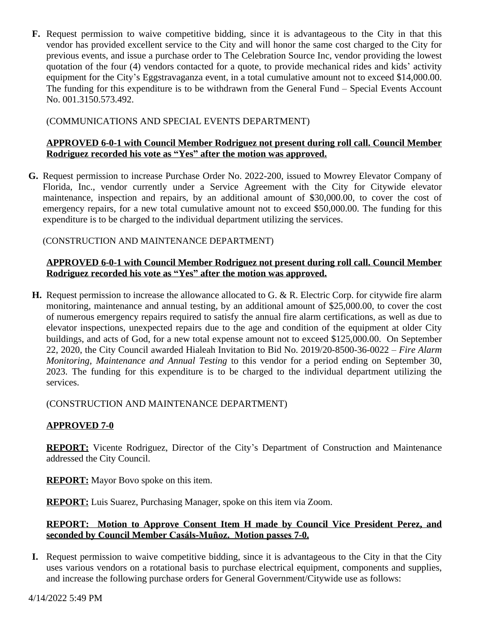**F.** Request permission to waive competitive bidding, since it is advantageous to the City in that this vendor has provided excellent service to the City and will honor the same cost charged to the City for previous events, and issue a purchase order to The Celebration Source Inc, vendor providing the lowest quotation of the four (4) vendors contacted for a quote, to provide mechanical rides and kids' activity equipment for the City's Eggstravaganza event, in a total cumulative amount not to exceed \$14,000.00. The funding for this expenditure is to be withdrawn from the General Fund – Special Events Account No. 001.3150.573.492.

# (COMMUNICATIONS AND SPECIAL EVENTS DEPARTMENT)

### **APPROVED 6-0-1 with Council Member Rodriguez not present during roll call. Council Member Rodriguez recorded his vote as "Yes" after the motion was approved.**

**G.** Request permission to increase Purchase Order No. 2022-200, issued to Mowrey Elevator Company of Florida, Inc., vendor currently under a Service Agreement with the City for Citywide elevator maintenance, inspection and repairs, by an additional amount of \$30,000.00, to cover the cost of emergency repairs, for a new total cumulative amount not to exceed \$50,000.00. The funding for this expenditure is to be charged to the individual department utilizing the services.

(CONSTRUCTION AND MAINTENANCE DEPARTMENT)

### **APPROVED 6-0-1 with Council Member Rodriguez not present during roll call. Council Member Rodriguez recorded his vote as "Yes" after the motion was approved.**

**H.** Request permission to increase the allowance allocated to G. & R. Electric Corp. for citywide fire alarm monitoring, maintenance and annual testing, by an additional amount of \$25,000.00, to cover the cost of numerous emergency repairs required to satisfy the annual fire alarm certifications, as well as due to elevator inspections, unexpected repairs due to the age and condition of the equipment at older City buildings, and acts of God, for a new total expense amount not to exceed \$125,000.00. On September 22, 2020, the City Council awarded Hialeah Invitation to Bid No. 2019/20-8500-36-0022 – *Fire Alarm Monitoring, Maintenance and Annual Testing* to this vendor for a period ending on September 30, 2023. The funding for this expenditure is to be charged to the individual department utilizing the services.

(CONSTRUCTION AND MAINTENANCE DEPARTMENT)

# **APPROVED 7-0**

**REPORT:** Vicente Rodriguez, Director of the City's Department of Construction and Maintenance addressed the City Council.

**REPORT:** Mayor Bovo spoke on this item.

**REPORT:** Luis Suarez, Purchasing Manager, spoke on this item via Zoom.

### **REPORT: Motion to Approve Consent Item H made by Council Vice President Perez, and seconded by Council Member Casáls-Muñoz. Motion passes 7-0.**

**I.** Request permission to waive competitive bidding, since it is advantageous to the City in that the City uses various vendors on a rotational basis to purchase electrical equipment, components and supplies, and increase the following purchase orders for General Government/Citywide use as follows: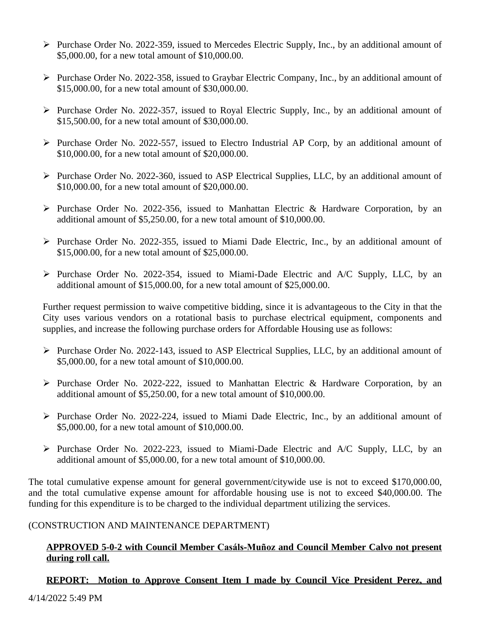- Purchase Order No. 2022-359, issued to Mercedes Electric Supply, Inc., by an additional amount of \$5,000.00, for a new total amount of \$10,000.00.
- $\triangleright$  Purchase Order No. 2022-358, issued to Graybar Electric Company, Inc., by an additional amount of \$15,000.00, for a new total amount of \$30,000.00.
- $\triangleright$  Purchase Order No. 2022-357, issued to Royal Electric Supply, Inc., by an additional amount of \$15,500.00, for a new total amount of \$30,000.00.
- $\triangleright$  Purchase Order No. 2022-557, issued to Electro Industrial AP Corp, by an additional amount of \$10,000.00, for a new total amount of \$20,000.00.
- $\triangleright$  Purchase Order No. 2022-360, issued to ASP Electrical Supplies, LLC, by an additional amount of \$10,000.00, for a new total amount of \$20,000.00.
- Purchase Order No. 2022-356, issued to Manhattan Electric & Hardware Corporation, by an additional amount of \$5,250.00, for a new total amount of \$10,000.00.
- $\triangleright$  Purchase Order No. 2022-355, issued to Miami Dade Electric, Inc., by an additional amount of \$15,000.00, for a new total amount of \$25,000.00.
- Purchase Order No. 2022-354, issued to Miami-Dade Electric and A/C Supply, LLC, by an additional amount of \$15,000.00, for a new total amount of \$25,000.00.

Further request permission to waive competitive bidding, since it is advantageous to the City in that the City uses various vendors on a rotational basis to purchase electrical equipment, components and supplies, and increase the following purchase orders for Affordable Housing use as follows:

- $\triangleright$  Purchase Order No. 2022-143, issued to ASP Electrical Supplies, LLC, by an additional amount of \$5,000.00, for a new total amount of \$10,000.00.
- $\triangleright$  Purchase Order No. 2022-222, issued to Manhattan Electric & Hardware Corporation, by an additional amount of \$5,250.00, for a new total amount of \$10,000.00.
- $\triangleright$  Purchase Order No. 2022-224, issued to Miami Dade Electric, Inc., by an additional amount of \$5,000.00, for a new total amount of \$10,000.00.
- $\triangleright$  Purchase Order No. 2022-223, issued to Miami-Dade Electric and A/C Supply, LLC, by an additional amount of \$5,000.00, for a new total amount of \$10,000.00.

The total cumulative expense amount for general government/citywide use is not to exceed \$170,000.00, and the total cumulative expense amount for affordable housing use is not to exceed \$40,000.00. The funding for this expenditure is to be charged to the individual department utilizing the services.

# (CONSTRUCTION AND MAINTENANCE DEPARTMENT)

### **APPROVED 5-0-2 with Council Member Casáls-Muñoz and Council Member Calvo not present during roll call.**

# **REPORT: Motion to Approve Consent Item I made by Council Vice President Perez, and**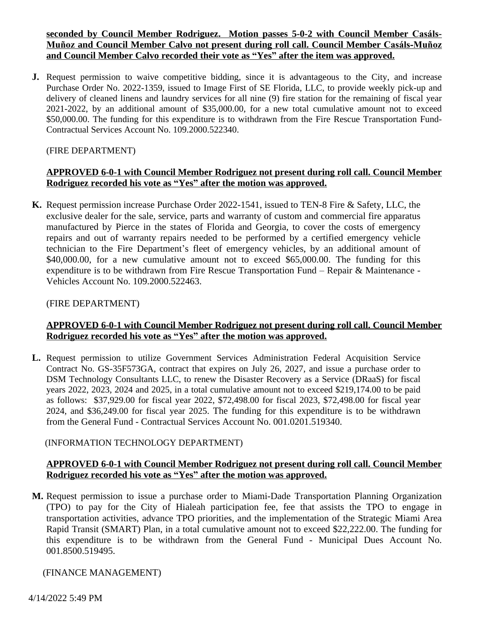**<u>seconded by Council Member Rodriguez. Motion passes 5-0-2 with Council Member Casáls-</u> Muñoz and Council Member Calvo not present during roll call. Council Member Casáls-Muñoz and Council Member Calvo recorded their vote as "Yes" after the item was approved.**

**J.** Request permission to waive competitive bidding, since it is advantageous to the City, and increase Purchase Order No. 2022-1359, issued to Image First of SE Florida, LLC, to provide weekly pick-up and delivery of cleaned linens and laundry services for all nine (9) fire station for the remaining of fiscal year 2021-2022, by an additional amount of \$35,000.00, for a new total cumulative amount not to exceed \$50,000.00. The funding for this expenditure is to withdrawn from the Fire Rescue Transportation Fund-Contractual Services Account No. 109.2000.522340.

#### (FIRE DEPARTMENT)

### **APPROVED 6-0-1 with Council Member Rodriguez not present during roll call. Council Member Rodriguez recorded his vote as "Yes" after the motion was approved.**

**K.** Request permission increase Purchase Order 2022-1541, issued to TEN-8 Fire & Safety, LLC, the exclusive dealer for the sale, service, parts and warranty of custom and commercial fire apparatus manufactured by Pierce in the states of Florida and Georgia, to cover the costs of emergency repairs and out of warranty repairs needed to be performed by a certified emergency vehicle technician to the Fire Department's fleet of emergency vehicles, by an additional amount of \$40,000.00, for a new cumulative amount not to exceed \$65,000.00. The funding for this expenditure is to be withdrawn from Fire Rescue Transportation Fund – Repair & Maintenance - Vehicles Account No. 109.2000.522463.

#### (FIRE DEPARTMENT)

### **APPROVED 6-0-1 with Council Member Rodriguez not present during roll call. Council Member Rodriguez recorded his vote as "Yes" after the motion was approved.**

**L.** Request permission to utilize Government Services Administration Federal Acquisition Service Contract No. GS-35F573GA, contract that expires on July 26, 2027, and issue a purchase order to DSM Technology Consultants LLC, to renew the Disaster Recovery as a Service (DRaaS) for fiscal years 2022, 2023, 2024 and 2025, in a total cumulative amount not to exceed \$219,174.00 to be paid as follows: \$37,929.00 for fiscal year 2022, \$72,498.00 for fiscal 2023, \$72,498.00 for fiscal year 2024, and \$36,249.00 for fiscal year 2025. The funding for this expenditure is to be withdrawn from the General Fund - Contractual Services Account No. 001.0201.519340.

#### (INFORMATION TECHNOLOGY DEPARTMENT)

### **APPROVED 6-0-1 with Council Member Rodriguez not present during roll call. Council Member Rodriguez recorded his vote as "Yes" after the motion was approved.**

**M.** Request permission to issue a purchase order to Miami-Dade Transportation Planning Organization (TPO) to pay for the City of Hialeah participation fee, fee that assists the TPO to engage in transportation activities, advance TPO priorities, and the implementation of the Strategic Miami Area Rapid Transit (SMART) Plan, in a total cumulative amount not to exceed \$22,222.00. The funding for this expenditure is to be withdrawn from the General Fund - Municipal Dues Account No. 001.8500.519495.

### (FINANCE MANAGEMENT)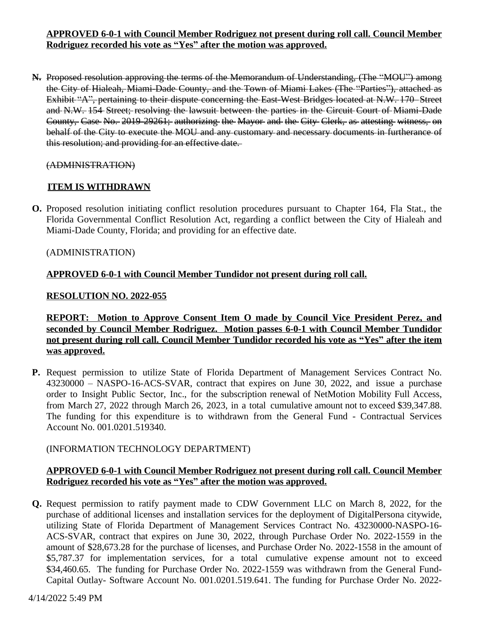# **APPROVED 6-0-1 with Council Member Rodriguez not present during roll call. Council Member Rodriguez recorded his vote as "Yes" after the motion was approved.**

**N.** Proposed resolution approving the terms of the Memorandum of Understanding, (The "MOU") among the City of Hialeah, Miami-Dade County, and the Town of Miami Lakes (The "Parties"), attached as Exhibit "A", pertaining to their dispute concerning the East-West Bridges located at N.W. 170 Street and N.W. 154 Street; resolving the lawsuit between the parties in the Circuit Court of Miami-Dade County, Case No. 2019-29261; authorizing the Mayor and the City Clerk, as attesting witness, on behalf of the City to execute the MOU and any customary and necessary documents in furtherance of this resolution; and providing for an effective date.

### (ADMINISTRATION)

### **ITEM IS WITHDRAWN**

**O.** Proposed resolution initiating conflict resolution procedures pursuant to Chapter 164, Fla Stat., the Florida Governmental Conflict Resolution Act, regarding a conflict between the City of Hialeah and Miami-Dade County, Florida; and providing for an effective date.

### (ADMINISTRATION)

# **APPROVED 6-0-1 with Council Member Tundidor not present during roll call.**

### **RESOLUTION NO. 2022-055**

**REPORT: Motion to Approve Consent Item O made by Council Vice President Perez, and seconded by Council Member Rodriguez. Motion passes 6-0-1 with Council Member Tundidor not present during roll call. Council Member Tundidor recorded his vote as "Yes" after the item was approved.**

**P.** Request permission to utilize State of Florida Department of Management Services Contract No. 43230000 – NASPO-16-ACS-SVAR, contract that expires on June 30, 2022, and issue a purchase order to Insight Public Sector, Inc., for the subscription renewal of NetMotion Mobility Full Access, from March 27, 2022 through March 26, 2023, in a total cumulative amount not to exceed \$39,347.88. The funding for this expenditure is to withdrawn from the General Fund - Contractual Services Account No. 001.0201.519340.

# (INFORMATION TECHNOLOGY DEPARTMENT)

# **APPROVED 6-0-1 with Council Member Rodriguez not present during roll call. Council Member Rodriguez recorded his vote as "Yes" after the motion was approved.**

**Q.** Request permission to ratify payment made to CDW Government LLC on March 8, 2022, for the purchase of additional licenses and installation services for the deployment of DigitalPersona citywide, utilizing State of Florida Department of Management Services Contract No. 43230000-NASPO-16- ACS-SVAR, contract that expires on June 30, 2022, through Purchase Order No. 2022-1559 in the amount of \$28,673.28 for the purchase of licenses, and Purchase Order No. 2022-1558 in the amount of \$5,787.37 for implementation services, for a total cumulative expense amount not to exceed \$34,460.65. The funding for Purchase Order No. 2022-1559 was withdrawn from the General Fund-Capital Outlay- Software Account No. 001.0201.519.641. The funding for Purchase Order No. 2022-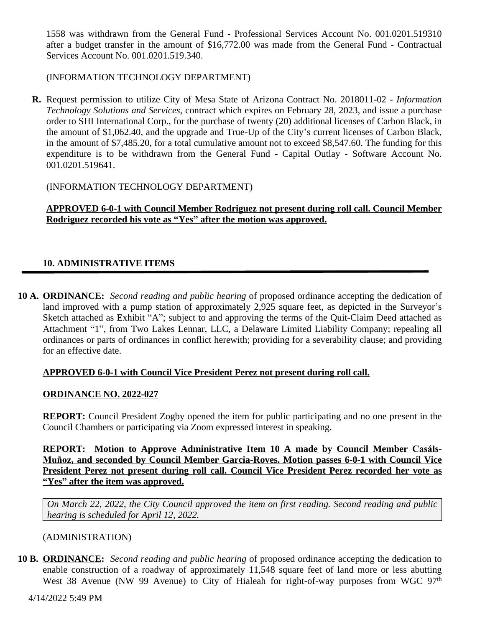1558 was withdrawn from the General Fund - Professional Services Account No. 001.0201.519310 after a budget transfer in the amount of \$16,772.00 was made from the General Fund - Contractual Services Account No. 001.0201.519.340.

### (INFORMATION TECHNOLOGY DEPARTMENT)

**R.** Request permission to utilize City of Mesa State of Arizona Contract No. 2018011-02 - *Information Technology Solutions and Services,* contract which expires on February 28, 2023, and issue a purchase order to SHI International Corp., for the purchase of twenty (20) additional licenses of Carbon Black, in the amount of \$1,062.40, and the upgrade and True-Up of the City's current licenses of Carbon Black, in the amount of \$7,485.20, for a total cumulative amount not to exceed \$8,547.60. The funding for this expenditure is to be withdrawn from the General Fund - Capital Outlay - Software Account No. 001.0201.519641.

### (INFORMATION TECHNOLOGY DEPARTMENT)

**APPROVED 6-0-1 with Council Member Rodriguez not present during roll call. Council Member Rodriguez recorded his vote as "Yes" after the motion was approved.**

# **10. ADMINISTRATIVE ITEMS**

**10 A. ORDINANCE:** *Second reading and public hearing* of proposed ordinance accepting the dedication of land improved with a pump station of approximately 2,925 square feet, as depicted in the Surveyor's Sketch attached as Exhibit "A"; subject to and approving the terms of the Quit-Claim Deed attached as Attachment "1", from Two Lakes Lennar, LLC, a Delaware Limited Liability Company; repealing all ordinances or parts of ordinances in conflict herewith; providing for a severability clause; and providing for an effective date.

### **APPROVED 6-0-1 with Council Vice President Perez not present during roll call.**

### **ORDINANCE NO. 2022-027**

**REPORT:** Council President Zogby opened the item for public participating and no one present in the Council Chambers or participating via Zoom expressed interest in speaking.

**REPORT:** Motion to Approve Administrative Item 10 A made by Council Member Casáls-**Muñoz, and seconded by Council Member Garcia-Roves. Motion passes 6-0-1 with Council Vice President Perez not present during roll call. Council Vice President Perez recorded her vote as "Yes" after the item was approved.**

*On March 22, 2022, the City Council approved the item on first reading. Second reading and public hearing is scheduled for April 12, 2022.* 

# (ADMINISTRATION)

**10 B. ORDINANCE:** *Second reading and public hearing* of proposed ordinance accepting the dedication to enable construction of a roadway of approximately 11,548 square feet of land more or less abutting West 38 Avenue (NW 99 Avenue) to City of Hialeah for right-of-way purposes from WGC 97<sup>th</sup>

4/14/2022 5:49 PM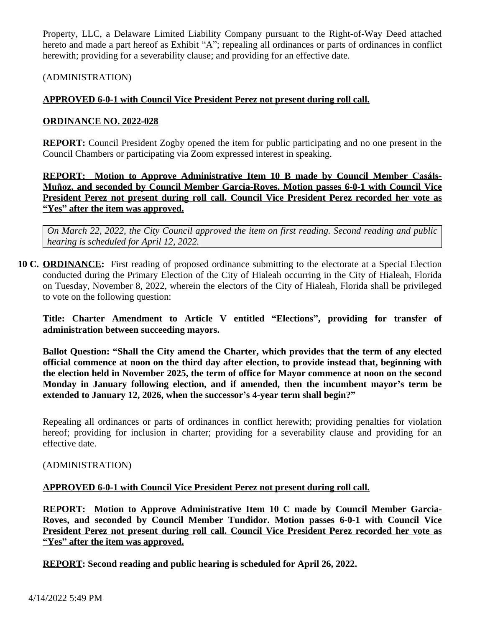Property, LLC, a Delaware Limited Liability Company pursuant to the Right-of-Way Deed attached hereto and made a part hereof as Exhibit "A"; repealing all ordinances or parts of ordinances in conflict herewith; providing for a severability clause; and providing for an effective date.

(ADMINISTRATION)

# **APPROVED 6-0-1 with Council Vice President Perez not present during roll call.**

### **ORDINANCE NO. 2022-028**

**REPORT:** Council President Zogby opened the item for public participating and no one present in the Council Chambers or participating via Zoom expressed interest in speaking.

**REPORT: Motion to Approve Administrative Item 10 B made by Council Member Casáls-Muñoz, and seconded by Council Member Garcia-Roves. Motion passes 6-0-1 with Council Vice President Perez not present during roll call. Council Vice President Perez recorded her vote as "Yes" after the item was approved.**

*On March 22, 2022, the City Council approved the item on first reading. Second reading and public hearing is scheduled for April 12, 2022.* 

**10 C. ORDINANCE:** First reading of proposed ordinance submitting to the electorate at a Special Election conducted during the Primary Election of the City of Hialeah occurring in the City of Hialeah, Florida on Tuesday, November 8, 2022, wherein the electors of the City of Hialeah, Florida shall be privileged to vote on the following question:

**Title: Charter Amendment to Article V entitled "Elections" , providing for transfer of administration between succeeding mayors.**

**Ballot Question: "Shall the City amend the Charter, which provides that the term of any elected official commence at noon on the third day after election, to provide instead that, beginning with the election held in November 2025, the term of office for Mayor commence at noon on the second Monday in January following election, and if amended, then the incumbent mayor's term be extended to January 12, 2026, when the successor's 4-year term shall begin?"**

Repealing all ordinances or parts of ordinances in conflict herewith; providing penalties for violation hereof; providing for inclusion in charter; providing for a severability clause and providing for an effective date.

### (ADMINISTRATION)

# **APPROVED 6-0-1 with Council Vice President Perez not present during roll call.**

**REPORT: Motion to Approve Administrative Item 10 C made by Council Member Garcia-Roves, and seconded by Council Member Tundidor. Motion passes 6-0-1 with Council Vice President Perez not present during roll call. Council Vice President Perez recorded her vote as "Yes" after the item was approved.**

**REPORT: Second reading and public hearing is scheduled for April 26, 2022.**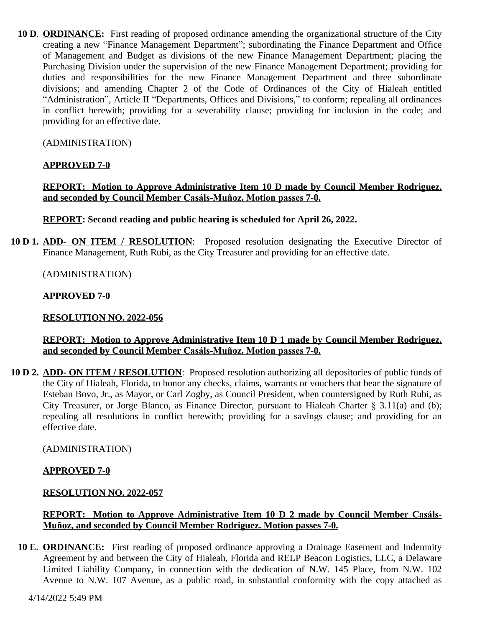**10 D**. **ORDINANCE:** First reading of proposed ordinance amending the organizational structure of the City creating a new "Finance Management Department"; subordinating the Finance Department and Office of Management and Budget as divisions of the new Finance Management Department; placing the Purchasing Division under the supervision of the new Finance Management Department; providing for duties and responsibilities for the new Finance Management Department and three subordinate divisions; and amending Chapter 2 of the Code of Ordinances of the City of Hialeah entitled "Administration", Article II "Departments, Offices and Divisions," to conform; repealing all ordinances in conflict herewith; providing for a severability clause; providing for inclusion in the code; and providing for an effective date.

(ADMINISTRATION)

### **APPROVED 7-0**

**REPORT: Motion to Approve Administrative Item 10 D made by Council Member Rodriguez, and seconded by Council Member Casáls-Muñoz. Motion passes 7-0.**

**REPORT: Second reading and public hearing is scheduled for April 26, 2022.**

**10 D 1. ADD- ON ITEM / RESOLUTION**: Proposed resolution designating the Executive Director of Finance Management, Ruth Rubi, as the City Treasurer and providing for an effective date.

(ADMINISTRATION)

#### **APPROVED 7-0**

#### **RESOLUTION NO. 2022-056**

### **REPORT: Motion to Approve Administrative Item 10 D 1 made by Council Member Rodriguez, and seconded by Council Member Casáls-Muñoz. Motion passes 7-0.**

**10 D 2. ADD- ON ITEM / RESOLUTION**: Proposed resolution authorizing all depositories of public funds of the City of Hialeah, Florida, to honor any checks, claims, warrants or vouchers that bear the signature of Esteban Bovo, Jr., as Mayor, or Carl Zogby, as Council President, when countersigned by Ruth Rubi, as City Treasurer, or Jorge Blanco, as Finance Director, pursuant to Hialeah Charter  $\S$  3.11(a) and (b); repealing all resolutions in conflict herewith; providing for a savings clause; and providing for an effective date.

(ADMINISTRATION)

### **APPROVED 7-0**

#### **RESOLUTION NO. 2022-057**

### **REPORT:** Motion to Approve Administrative Item 10 D 2 made by Council Member Casáls-**Muñoz, and seconded by Council Member Rodriguez. Motion passes 7-0.**

**10 E**. **ORDINANCE:** First reading of proposed ordinance approving a Drainage Easement and Indemnity Agreement by and between the City of Hialeah, Florida and RELP Beacon Logistics, LLC, a Delaware Limited Liability Company, in connection with the dedication of N.W. 145 Place, from N.W. 102 Avenue to N.W. 107 Avenue, as a public road, in substantial conformity with the copy attached as

4/14/2022 5:49 PM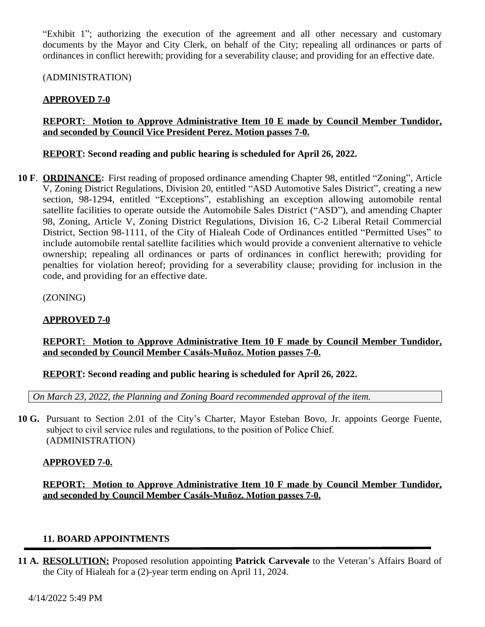"Exhibit 1"; authorizing the execution of the agreement and all other necessary and customary documents by the Mayor and City Clerk, on behalf of the City; repealing all ordinances or parts of ordinances in conflict herewith; providing for a severability clause; and providing for an effective date.

(ADMINISTRATION)

# **APPROVED 7-0**

# **REPORT: Motion to Approve Administrative Item 10 E made by Council Member Tundidor, and seconded by Council Vice President Perez. Motion passes 7-0.**

### **REPORT: Second reading and public hearing is scheduled for April 26, 2022.**

**10 F**. **ORDINANCE:** First reading of proposed ordinance amending Chapter 98, entitled "Zoning", Article V, Zoning District Regulations, Division 20, entitled "ASD Automotive Sales District", creating a new section, 98-1294, entitled "Exceptions", establishing an exception allowing automobile rental satellite facilities to operate outside the Automobile Sales District ("ASD"), and amending Chapter 98, Zoning, Article V, Zoning District Regulations, Division 16, C-2 Liberal Retail Commercial District, Section 98-1111, of the City of Hialeah Code of Ordinances entitled "Permitted Uses" to include automobile rental satellite facilities which would provide a convenient alternative to vehicle ownership; repealing all ordinances or parts of ordinances in conflict herewith; providing for penalties for violation hereof; providing for a severability clause; providing for inclusion in the code, and providing for an effective date.

(ZONING)

# **APPROVED 7-0**

# **REPORT: Motion to Approve Administrative Item 10 F made by Council Member Tundidor, and seconded by Council Member Casáls-Muñoz. Motion passes 7-0.**

**REPORT: Second reading and public hearing is scheduled for April 26, 2022.**

*On March 23, 2022, the Planning and Zoning Board recommended approval of the item.*

**10 G.** Pursuant to Section 2.01 of the City's Charter, Mayor Esteban Bovo, Jr. appoints George Fuente, subject to civil service rules and regulations, to the position of Police Chief. (ADMINISTRATION)

# **APPROVED 7-0.**

**REPORT: Motion to Approve Administrative Item 10 F made by Council Member Tundidor, and seconded by Council Member Casáls-Muñoz. Motion passes 7-0.**

# **11. BOARD APPOINTMENTS**

**11 A. RESOLUTION:** Proposed resolution appointing **Patrick Carvevale** to the Veteran's Affairs Board of the City of Hialeah for a (2)-year term ending on April 11, 2024.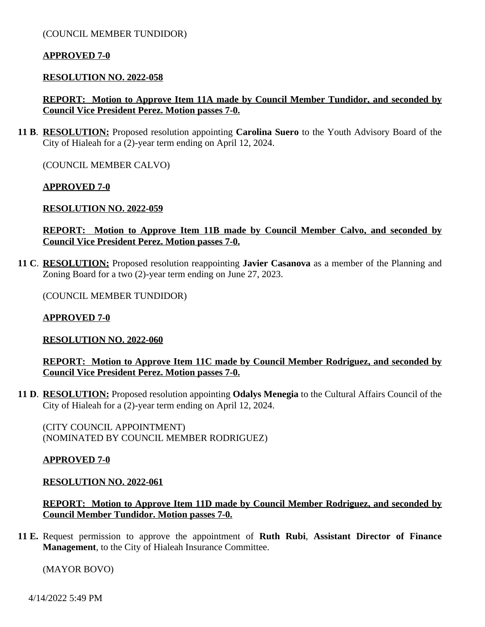(COUNCIL MEMBER TUNDIDOR)

#### **APPROVED 7-0**

#### **RESOLUTION NO. 2022-058**

### **REPORT: Motion to Approve Item 11A made by Council Member Tundidor, and seconded by Council Vice President Perez. Motion passes 7-0.**

**11 B**. **RESOLUTION:** Proposed resolution appointing **Carolina Suero** to the Youth Advisory Board of the City of Hialeah for a (2)-year term ending on April 12, 2024.

(COUNCIL MEMBER CALVO)

#### **APPROVED 7-0**

#### **RESOLUTION NO. 2022-059**

### **REPORT: Motion to Approve Item 11B made by Council Member Calvo, and seconded by Council Vice President Perez. Motion passes 7-0.**

**11 C**. **RESOLUTION:** Proposed resolution reappointing **Javier Casanova** as a member of the Planning and Zoning Board for a two (2)-year term ending on June 27, 2023.

(COUNCIL MEMBER TUNDIDOR)

#### **APPROVED 7-0**

### **RESOLUTION NO. 2022-060**

**REPORT: Motion to Approve Item 11C made by Council Member Rodriguez, and seconded by Council Vice President Perez. Motion passes 7-0.**

**11 D**. **RESOLUTION:** Proposed resolution appointing **Odalys Menegia** to the Cultural Affairs Council of the City of Hialeah for a (2)-year term ending on April 12, 2024.

(CITY COUNCIL APPOINTMENT) (NOMINATED BY COUNCIL MEMBER RODRIGUEZ)

#### **APPROVED 7-0**

#### **RESOLUTION NO. 2022-061**

**REPORT: Motion to Approve Item 11D made by Council Member Rodriguez, and seconded by Council Member Tundidor. Motion passes 7-0.**

**11 E.** Request permission to approve the appointment of **Ruth Rubi**, **Assistant Director of Finance Management**, to the City of Hialeah Insurance Committee.

(MAYOR BOVO)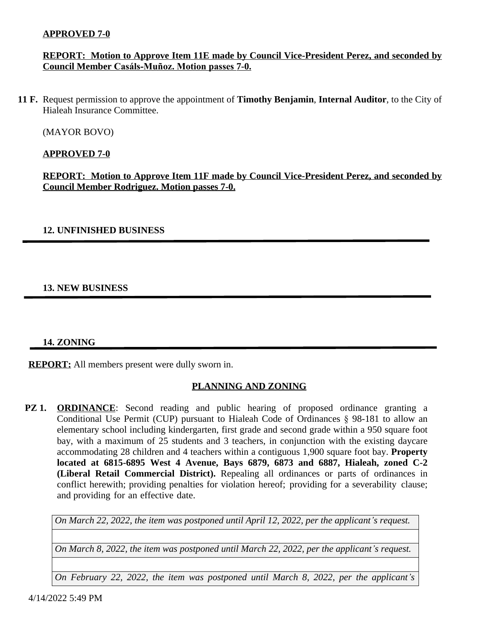### **APPROVED 7-0**

### **REPORT: Motion to Approve Item 11E made by Council Vice-President Perez, and seconded by Council Member Casáls-Muñoz. Motion passes 7-0.**

**11 F.** Request permission to approve the appointment of **Timothy Benjamin**, **Internal Auditor**, to the City of Hialeah Insurance Committee.

(MAYOR BOVO)

### **APPROVED 7-0**

**REPORT: Motion to Approve Item 11F made by Council Vice-President Perez, and seconded by Council Member Rodriguez. Motion passes 7-0.**

### **12. UNFINISHED BUSINESS**

# **13. NEW BUSINESS**

### **14. ZONING**

**REPORT:** All members present were dully sworn in.

# **PLANNING AND ZONING**

**PZ 1. ORDINANCE**: Second reading and public hearing of proposed ordinance granting a Conditional Use Permit (CUP) pursuant to Hialeah Code of Ordinances § 98-181 to allow an elementary school including kindergarten, first grade and second grade within a 950 square foot bay, with a maximum of 25 students and 3 teachers, in conjunction with the existing daycare accommodating 28 children and 4 teachers within a contiguous 1,900 square foot bay. **Property located at 6815-6895 West 4 Avenue, Bays 6879, 6873 and 6887, Hialeah, zoned C-2 (Liberal Retail Commercial District).** Repealing all ordinances or parts of ordinances in conflict herewith; providing penalties for violation hereof; providing for a severability clause; and providing for an effective date.

*On March 22, 2022, the item was postponed until April 12, 2022, per the applicant's request.* 

*On March 8, 2022, the item was postponed until March 22, 2022, per the applicant's request.*

*On February 22, 2022, the item was postponed until March 8, 2022, per the applicant's*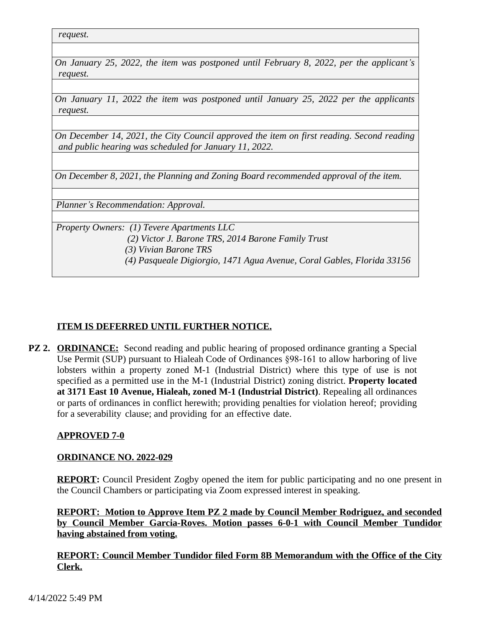*request.* 

*On January 25, 2022, the item was postponed until February 8, 2022, per the applicant's request.*

*On January 11, 2022 the item was postponed until January 25, 2022 per the applicants request.*

*On December 14, 2021, the City Council approved the item on first reading. Second reading and public hearing was scheduled for January 11, 2022.*

*On December 8, 2021, the Planning and Zoning Board recommended approval of the item.*

*Planner's Recommendation: Approval.*

*Property Owners: (1) Tevere Apartments LLC*

 *(2) Victor J. Barone TRS, 2014 Barone Family Trust*

 *(3) Vivian Barone TRS*

 *(4) Pasqueale Digiorgio, 1471 Agua Avenue, Coral Gables, Florida 33156*

# **ITEM IS DEFERRED UNTIL FURTHER NOTICE.**

**PZ 2. ORDINANCE:** Second reading and public hearing of proposed ordinance granting a Special Use Permit (SUP) pursuant to Hialeah Code of Ordinances §98-161 to allow harboring of live lobsters within a property zoned M-1 (Industrial District) where this type of use is not specified as a permitted use in the M-1 (Industrial District) zoning district. **Property located at 3171 East 10 Avenue, Hialeah, zoned M-1 (Industrial District)**. Repealing all ordinances or parts of ordinances in conflict herewith; providing penalties for violation hereof; providing for a severability clause; and providing for an effective date.

# **APPROVED 7-0**

# **ORDINANCE NO. 2022-029**

**REPORT:** Council President Zogby opened the item for public participating and no one present in the Council Chambers or participating via Zoom expressed interest in speaking.

**REPORT: Motion to Approve Item PZ 2 made by Council Member Rodriguez, and seconded by Council Member Garcia-Roves. Motion passes 6-0-1 with Council Member Tundidor having abstained from voting.**

**REPORT: Council Member Tundidor filed Form 8B Memorandum with the Office of the City Clerk.**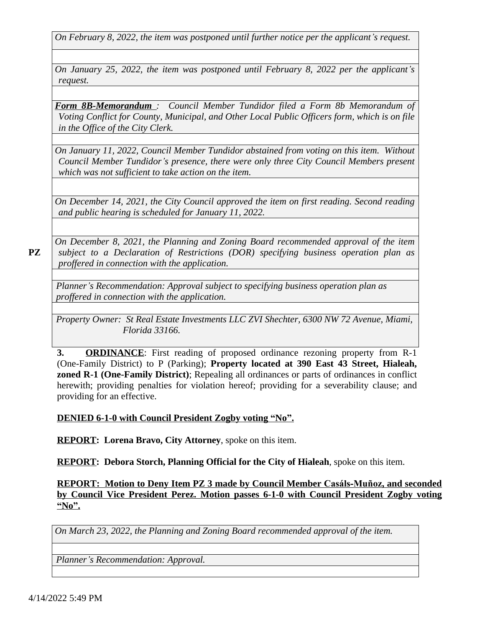*On February 8, 2022, the item was postponed until further notice per the applicant's request.*

*On January 25, 2022, the item was postponed until February 8, 2022 per the applicant's request.*

*Form 8B-Memorandum : Council Member Tundidor filed a Form 8b Memorandum of Voting Conflict for County, Municipal, and Other Local Public Officers form, which is on file in the Office of the City Clerk.*

*On January 11, 2022, Council Member Tundidor abstained from voting on this item. Without Council Member Tundidor's presence, there were only three City Council Members present which was not sufficient to take action on the item.*

*On December 14, 2021, the City Council approved the item on first reading. Second reading and public hearing is scheduled for January 11, 2022.*

*On December 8, 2021, the Planning and Zoning Board recommended approval of the item subject to a Declaration of Restrictions (DOR) specifying business operation plan as proffered in connection with the application.*

*Planner's Recommendation: Approval subject to specifying business operation plan as proffered in connection with the application.*

*Property Owner: St Real Estate Investments LLC ZVI Shechter, 6300 NW 72 Avenue, Miami, Florida 33166.*

**3. ORDINANCE**: First reading of proposed ordinance rezoning property from R-1 (One-Family District) to P (Parking); **Property located at 390 East 43 Street, Hialeah, zoned R-1 (One-Family District)**; Repealing all ordinances or parts of ordinances in conflict herewith; providing penalties for violation hereof; providing for a severability clause; and providing for an effective.

# **DENIED 6-1-0 with Council President Zogby voting "No".**

**REPORT: Lorena Bravo, City Attorney**, spoke on this item.

**REPORT: Debora Storch, Planning Official for the City of Hialeah**, spoke on this item.

**REPORT: Motion to Deny Item PZ 3 made by Council Member Casáls-Muñoz, and seconded by Council Vice President Perez. Motion passes 6-1-0 with Council President Zogby voting "No".**

*On March 23, 2022, the Planning and Zoning Board recommended approval of the item.*

*Planner's Recommendation: Approval.*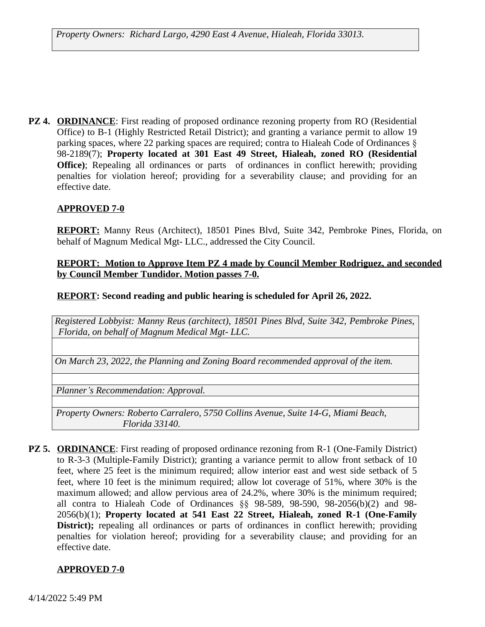**PZ 4. ORDINANCE:** First reading of proposed ordinance rezoning property from RO (Residential Office) to B-1 (Highly Restricted Retail District); and granting a variance permit to allow 19 parking spaces, where 22 parking spaces are required; contra to Hialeah Code of Ordinances § 98-2189(7); **Property located at 301 East 49 Street, Hialeah, zoned RO (Residential Office**); Repealing all ordinances or parts of ordinances in conflict herewith; providing penalties for violation hereof; providing for a severability clause; and providing for an effective date.

### **APPROVED 7-0**

**REPORT:** Manny Reus (Architect), 18501 Pines Blvd, Suite 342, Pembroke Pines, Florida, on behalf of Magnum Medical Mgt- LLC., addressed the City Council.

### **REPORT: Motion to Approve Item PZ 4 made by Council Member Rodriguez, and seconded by Council Member Tundidor. Motion passes 7-0.**

**REPORT: Second reading and public hearing is scheduled for April 26, 2022.**

*Registered Lobbyist: Manny Reus (architect), 18501 Pines Blvd, Suite 342, Pembroke Pines, Florida, on behalf of Magnum Medical Mgt- LLC.*

*On March 23, 2022, the Planning and Zoning Board recommended approval of the item.*

*Planner's Recommendation: Approval.*

*Property Owners: Roberto Carralero, 5750 Collins Avenue, Suite 14-G, Miami Beach, Florida 33140.*

**PZ 5. ORDINANCE:** First reading of proposed ordinance rezoning from R-1 (One-Family District) to R-3-3 (Multiple-Family District); granting a variance permit to allow front setback of 10 feet, where 25 feet is the minimum required; allow interior east and west side setback of 5 feet, where 10 feet is the minimum required; allow lot coverage of 51%, where 30% is the maximum allowed; and allow pervious area of 24.2%, where 30% is the minimum required; all contra to Hialeah Code of Ordinances §§ 98-589, 98-590, 98-2056(b)(2) and 98- 2056(b)(1); **Property located at 541 East 22 Street, Hialeah, zoned R-1 (One-Family District);** repealing all ordinances or parts of ordinances in conflict herewith; providing penalties for violation hereof; providing for a severability clause; and providing for an effective date.

### **APPROVED 7-0**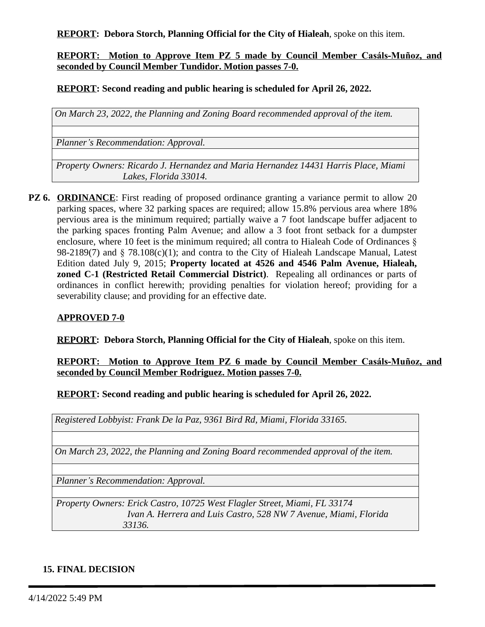**REPORT: Debora Storch, Planning Official for the City of Hialeah**, spoke on this item.

### **REPORT: Motion to Approve Item PZ 5 made by Council Member Casáls-Muñoz, and seconded by Council Member Tundidor. Motion passes 7-0.**

**REPORT: Second reading and public hearing is scheduled for April 26, 2022.**

*On March 23, 2022, the Planning and Zoning Board recommended approval of the item.*

*Planner's Recommendation: Approval.*

*Property Owners: Ricardo J. Hernandez and Maria Hernandez 14431 Harris Place, Miami Lakes, Florida 33014.*

**PZ 6. ORDINANCE**: First reading of proposed ordinance granting a variance permit to allow 20 parking spaces, where 32 parking spaces are required; allow 15.8% pervious area where 18% pervious area is the minimum required; partially waive a 7 foot landscape buffer adjacent to the parking spaces fronting Palm Avenue; and allow a 3 foot front setback for a dumpster enclosure, where 10 feet is the minimum required; all contra to Hialeah Code of Ordinances § 98-2189(7) and  $\S$  78.108(c)(1); and contra to the City of Hialeah Landscape Manual, Latest Edition dated July 9, 2015; **Property located at 4526 and 4546 Palm Avenue, Hialeah, zoned C-1 (Restricted Retail Commercial District)**. Repealing all ordinances or parts of ordinances in conflict herewith; providing penalties for violation hereof; providing for a severability clause; and providing for an effective date.

### **APPROVED 7-0**

**REPORT: Debora Storch, Planning Official for the City of Hialeah**, spoke on this item.

### **REPORT: Motion to Approve Item PZ 6 made by Council Member Casáls-Muñoz, and seconded by Council Member Rodriguez. Motion passes 7-0.**

**REPORT: Second reading and public hearing is scheduled for April 26, 2022.**

*Registered Lobbyist: Frank De la Paz, 9361 Bird Rd, Miami, Florida 33165.*

*On March 23, 2022, the Planning and Zoning Board recommended approval of the item.*

*Planner's Recommendation: Approval.*

*Property Owners: Erick Castro, 10725 West Flagler Street, Miami, FL 33174 Ivan A. Herrera and Luis Castro, 528 NW 7 Avenue, Miami, Florida 33136.*

### **15. FINAL DECISION**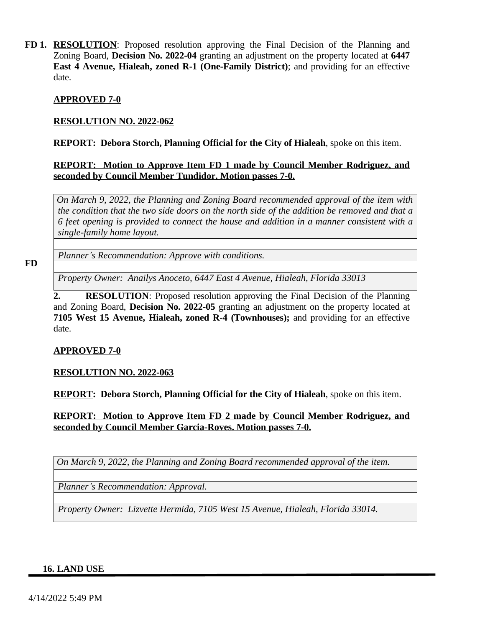**FD 1. RESOLUTION**: Proposed resolution approving the Final Decision of the Planning and Zoning Board, **Decision No. 2022-04** granting an adjustment on the property located at **6447 East 4 Avenue, Hialeah, zoned R-1 (One-Family District)**; and providing for an effective date.

### **APPROVED 7-0**

### **RESOLUTION NO. 2022-062**

**REPORT: Debora Storch, Planning Official for the City of Hialeah**, spoke on this item.

### **REPORT: Motion to Approve Item FD 1 made by Council Member Rodriguez, and seconded by Council Member Tundidor. Motion passes 7-0.**

*On March 9, 2022, the Planning and Zoning Board recommended approval of the item with* the condition that the two side doors on the north side of the addition be removed and that a *6 feet opening is provided to connect the house and addition in a manner consistent with a single-family home layout.*

**FD**

*Planner's Recommendation: Approve with conditions.*

*Property Owner: Anailys Anoceto, 6447 East 4 Avenue, Hialeah, Florida 33013*

**2. RESOLUTION**: Proposed resolution approving the Final Decision of the Planning and Zoning Board, **Decision No. 2022-05** granting an adjustment on the property located at **7105 West 15 Avenue, Hialeah, zoned R-4 (Townhouses);** and providing for an effective date.

# **APPROVED 7-0**

### **RESOLUTION NO. 2022-063**

**REPORT: Debora Storch, Planning Official for the City of Hialeah**, spoke on this item.

**REPORT: Motion to Approve Item FD 2 made by Council Member Rodriguez, and seconded by Council Member Garcia-Roves. Motion passes 7-0.**

*On March 9, 2022, the Planning and Zoning Board recommended approval of the item.*

*Planner's Recommendation: Approval.*

*Property Owner: Lizvette Hermida, 7105 West 15 Avenue, Hialeah, Florida 33014.*

#### **16. LAND USE**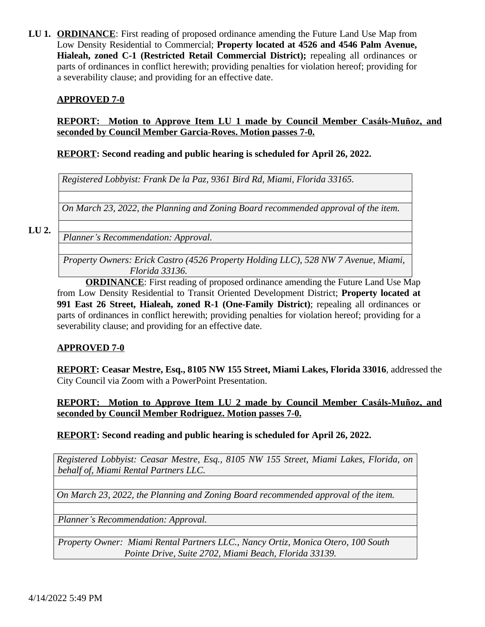**LU 1. ORDINANCE**: First reading of proposed ordinance amending the Future Land Use Map from Low Density Residential to Commercial; **Property located at 4526 and 4546 Palm Avenue, Hialeah, zoned C-1 (Restricted Retail Commercial District);** repealing all ordinances or parts of ordinances in conflict herewith; providing penalties for violation hereof; providing for a severability clause; and providing for an effective date.

### **APPROVED 7-0**

### **REPORT: Motion to Approve Item LU 1 made by Council Member Casáls-Muñoz, and seconded by Council Member Garcia-Roves. Motion passes 7-0.**

### **REPORT: Second reading and public hearing is scheduled for April 26, 2022.**

*Registered Lobbyist: Frank De la Paz, 9361 Bird Rd, Miami, Florida 33165.*

*On March 23, 2022, the Planning and Zoning Board recommended approval of the item.*

#### **LU 2.**

*Planner's Recommendation: Approval.*

*Property Owners: Erick Castro (4526 Property Holding LLC), 528 NW 7 Avenue, Miami, Florida 33136.*

**ORDINANCE**: First reading of proposed ordinance amending the Future Land Use Map from Low Density Residential to Transit Oriented Development District; **Property located at 991 East 26 Street, Hialeah, zoned R-1 (One-Family District)**; repealing all ordinances or parts of ordinances in conflict herewith; providing penalties for violation hereof; providing for a severability clause; and providing for an effective date.

### **APPROVED 7-0**

**REPORT: Ceasar Mestre, Esq., 8105 NW 155 Street, Miami Lakes, Florida 33016**, addressed the City Council via Zoom with a PowerPoint Presentation.

**REPORT: Motion to Approve Item LU 2 made by Council Member Casáls-Muñoz, and seconded by Council Member Rodriguez. Motion passes 7-0.**

### **REPORT: Second reading and public hearing is scheduled for April 26, 2022.**

*Registered Lobbyist: Ceasar Mestre, Esq., 8105 NW 155 Street, Miami Lakes, Florida, on behalf of, Miami Rental Partners LLC.*

*On March 23, 2022, the Planning and Zoning Board recommended approval of the item.*

*Planner's Recommendation: Approval.*

*Property Owner: Miami Rental Partners LLC., Nancy Ortiz, Monica Otero, 100 South Pointe Drive, Suite 2702, Miami Beach, Florida 33139.*